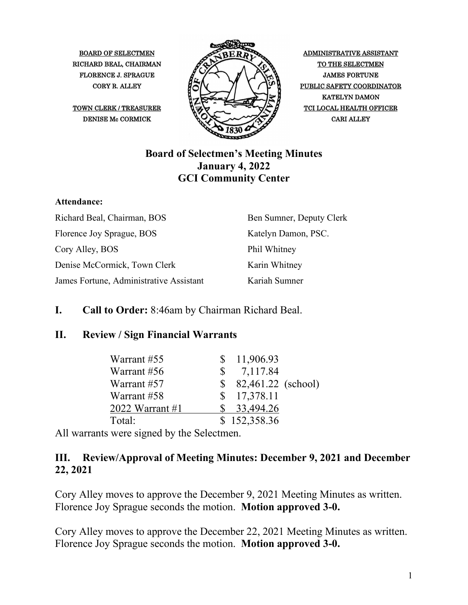

CORY R. ALLEY **ALLEY ALLEY PUBLIC SAFETY COORDINATOR** KATELYN DAMON

### **Board of Selectmen's Meeting Minutes January 4, 2022 GCI Community Center**

#### **Attendance:**

| Richard Beal, Chairman, BOS             | Ben Sumner, Deputy Clerk |
|-----------------------------------------|--------------------------|
| Florence Joy Sprague, BOS               | Katelyn Damon, PSC.      |
| Cory Alley, BOS                         | Phil Whitney             |
| Denise McCormick, Town Clerk            | Karin Whitney            |
| James Fortune, Administrative Assistant | Kariah Sumner            |

### **I. Call to Order:** 8:46am by Chairman Richard Beal.

#### **II. Review / Sign Financial Warrants**

| Warrant #55       | \$11,906.93           |
|-------------------|-----------------------|
| Warrant #56       | 7,117.84<br>S         |
| Warrant #57       | $$82,461.22$ (school) |
| Warrant #58       | \$17,378.11           |
| 2022 Warrant $#1$ | 33,494.26             |
| Total:            | \$152,358.36          |

All warrants were signed by the Selectmen.

#### **III. Review/Approval of Meeting Minutes: December 9, 2021 and December 22, 2021**

Cory Alley moves to approve the December 9, 2021 Meeting Minutes as written. Florence Joy Sprague seconds the motion. **Motion approved 3-0.**

Cory Alley moves to approve the December 22, 2021 Meeting Minutes as written. Florence Joy Sprague seconds the motion. **Motion approved 3-0.**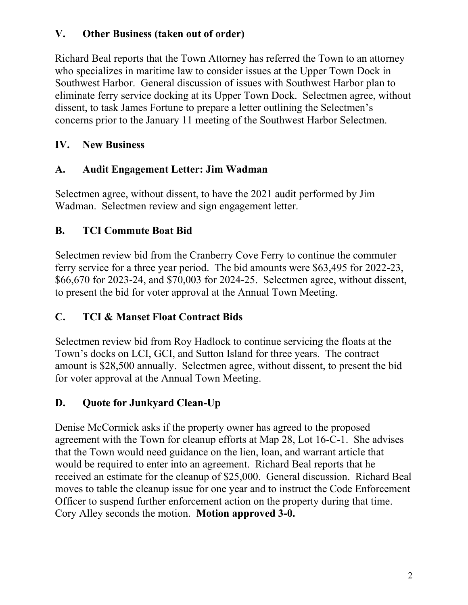## **V. Other Business (taken out of order)**

Richard Beal reports that the Town Attorney has referred the Town to an attorney who specializes in maritime law to consider issues at the Upper Town Dock in Southwest Harbor. General discussion of issues with Southwest Harbor plan to eliminate ferry service docking at its Upper Town Dock. Selectmen agree, without dissent, to task James Fortune to prepare a letter outlining the Selectmen's concerns prior to the January 11 meeting of the Southwest Harbor Selectmen.

# **IV. New Business**

# **A. Audit Engagement Letter: Jim Wadman**

Selectmen agree, without dissent, to have the 2021 audit performed by Jim Wadman. Selectmen review and sign engagement letter.

# **B. TCI Commute Boat Bid**

Selectmen review bid from the Cranberry Cove Ferry to continue the commuter ferry service for a three year period. The bid amounts were \$63,495 for 2022-23, \$66,670 for 2023-24, and \$70,003 for 2024-25. Selectmen agree, without dissent, to present the bid for voter approval at the Annual Town Meeting.

# **C. TCI & Manset Float Contract Bids**

Selectmen review bid from Roy Hadlock to continue servicing the floats at the Town's docks on LCI, GCI, and Sutton Island for three years. The contract amount is \$28,500 annually. Selectmen agree, without dissent, to present the bid for voter approval at the Annual Town Meeting.

# **D. Quote for Junkyard Clean-Up**

Denise McCormick asks if the property owner has agreed to the proposed agreement with the Town for cleanup efforts at Map 28, Lot 16-C-1. She advises that the Town would need guidance on the lien, loan, and warrant article that would be required to enter into an agreement. Richard Beal reports that he received an estimate for the cleanup of \$25,000. General discussion. Richard Beal moves to table the cleanup issue for one year and to instruct the Code Enforcement Officer to suspend further enforcement action on the property during that time. Cory Alley seconds the motion. **Motion approved 3-0.**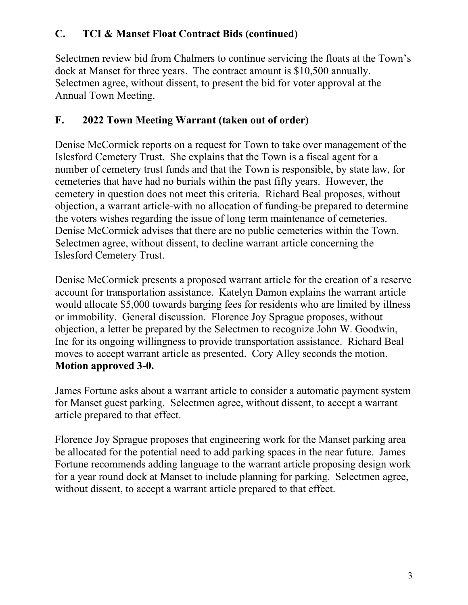## **C. TCI & Manset Float Contract Bids (continued)**

Selectmen review bid from Chalmers to continue servicing the floats at the Town's dock at Manset for three years. The contract amount is \$10,500 annually. Selectmen agree, without dissent, to present the bid for voter approval at the Annual Town Meeting.

## **F. 2022 Town Meeting Warrant (taken out of order)**

Denise McCormick reports on a request for Town to take over management of the Islesford Cemetery Trust. She explains that the Town is a fiscal agent for a number of cemetery trust funds and that the Town is responsible, by state law, for cemeteries that have had no burials within the past fifty years. However, the cemetery in question does not meet this criteria. Richard Beal proposes, without objection, a warrant article-with no allocation of funding-be prepared to determine the voters wishes regarding the issue of long term maintenance of cemeteries. Denise McCormick advises that there are no public cemeteries within the Town. Selectmen agree, without dissent, to decline warrant article concerning the Islesford Cemetery Trust.

Denise McCormick presents a proposed warrant article for the creation of a reserve account for transportation assistance. Katelyn Damon explains the warrant article would allocate \$5,000 towards barging fees for residents who are limited by illness or immobility. General discussion. Florence Joy Sprague proposes, without objection, a letter be prepared by the Selectmen to recognize John W. Goodwin, Inc for its ongoing willingness to provide transportation assistance. Richard Beal moves to accept warrant article as presented. Cory Alley seconds the motion. **Motion approved 3-0.**

James Fortune asks about a warrant article to consider a automatic payment system for Manset guest parking. Selectmen agree, without dissent, to accept a warrant article prepared to that effect.

Florence Joy Sprague proposes that engineering work for the Manset parking area be allocated for the potential need to add parking spaces in the near future. James Fortune recommends adding language to the warrant article proposing design work for a year round dock at Manset to include planning for parking. Selectmen agree, without dissent, to accept a warrant article prepared to that effect.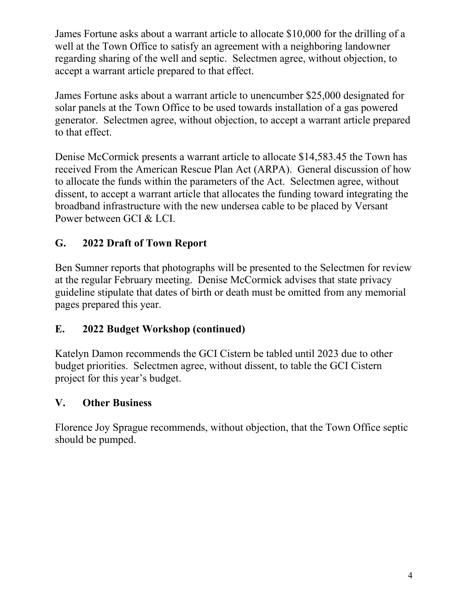James Fortune asks about a warrant article to allocate \$10,000 for the drilling of a well at the Town Office to satisfy an agreement with a neighboring landowner regarding sharing of the well and septic. Selectmen agree, without objection, to accept a warrant article prepared to that effect.

James Fortune asks about a warrant article to unencumber \$25,000 designated for solar panels at the Town Office to be used towards installation of a gas powered generator. Selectmen agree, without objection, to accept a warrant article prepared to that effect.

Denise McCormick presents a warrant article to allocate \$14,583.45 the Town has received From the American Rescue Plan Act (ARPA). General discussion of how to allocate the funds within the parameters of the Act. Selectmen agree, without dissent, to accept a warrant article that allocates the funding toward integrating the broadband infrastructure with the new undersea cable to be placed by Versant Power between GCI & LCI.

# **G. 2022 Draft of Town Report**

Ben Sumner reports that photographs will be presented to the Selectmen for review at the regular February meeting. Denise McCormick advises that state privacy guideline stipulate that dates of birth or death must be omitted from any memorial pages prepared this year.

## **E. 2022 Budget Workshop (continued)**

Katelyn Damon recommends the GCI Cistern be tabled until 2023 due to other budget priorities. Selectmen agree, without dissent, to table the GCI Cistern project for this year's budget.

# **V. Other Business**

Florence Joy Sprague recommends, without objection, that the Town Office septic should be pumped.